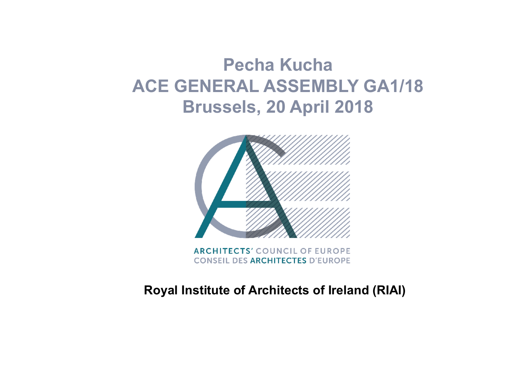# **Pecha Kucha ACE GENERAL ASSEMBLY GA1/18 Brussels, 20 April 2018**



**ARCHITECTS' COUNCIL OF EUROPE CONSEIL DES ARCHITECTES D'EUROPE** 

#### **Royal Institute of Architects of Ireland (RIAI)**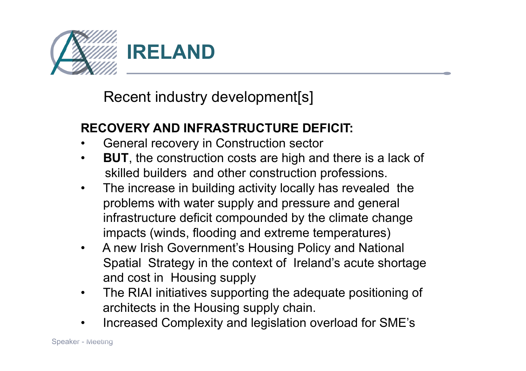

Recent industry development[s]

#### **RECOVERY AND INFRASTRUCTURE DEFICIT:**

- General recovery in Construction sector
- **BUT**, the construction costs are high and there is a lack of skilled builders and other construction professions.
- The increase in building activity locally has revealed the problems with water supply and pressure and general infrastructure deficit compounded by the climate change impacts (winds, flooding and extreme temperatures)
- A new Irish Government's Housing Policy and National Spatial Strategy in the context of Ireland's acute shortage and cost in Housing supply
- The RIAI initiatives supporting the adequate positioning of architects in the Housing supply chain.
- •Increased Complexity and legislation overload for SME's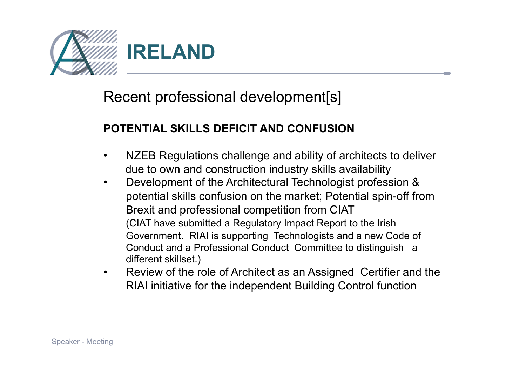

## Recent professional development[s]

#### **POTENTIAL SKILLS DEFICIT AND CONFUSION**

- NZEB Regulations challenge and ability of architects to deliver due to own and construction industry skills availability
- Development of the Architectural Technologist profession & potential skills confusion on the market; Potential spin-off from Brexit and professional competition from CIAT (CIAT have submitted a Regulatory Impact Report to the Irish Government. RIAI is supporting Technologists and a new Code of Conduct and a Professional Conduct Committee to distinguish a different skillset.)
- Review of the role of Architect as an Assigned Certifier and the RIAI initiative for the independent Building Control function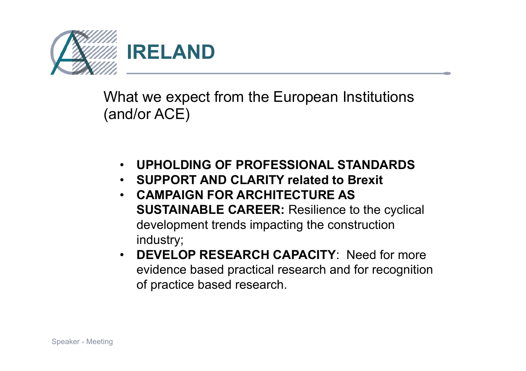

What we expect from the European Institutions (and/or ACE)

- **UPHOLDING OF PROFESSIONAL STANDARDS**
- **SUPPORT AND CLARITY related to Brexit**
- **CAMPAIGN FOR ARCHITECTURE AS SUSTAINABLE CAREER:** Resilience to the cyclical development trends impacting the construction industry;
- **DEVELOP RESEARCH CAPACITY**: Need for more evidence based practical research and for recognition of practice based research.